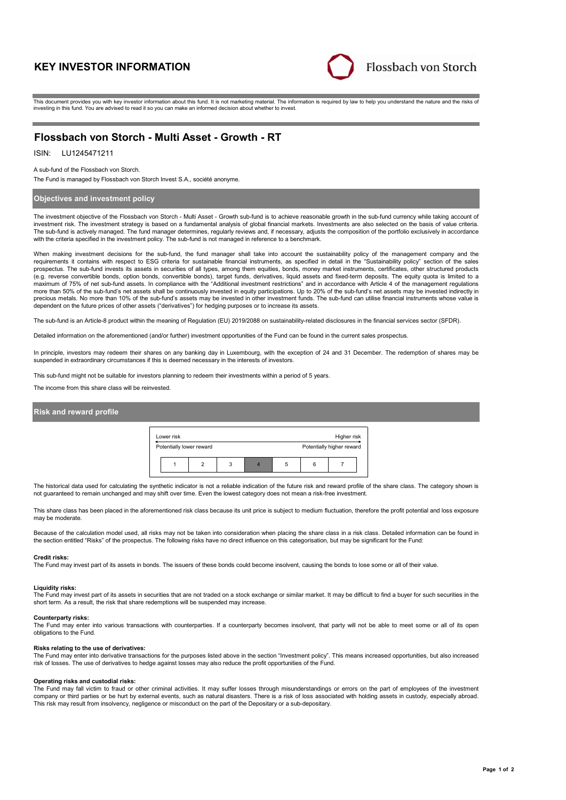# **KEY INVESTOR INFORMATION**



This document provides you with key investor information about this fund. It is not marketing material. The information is required by law to help you understand the nature and the risks of investing in this fund. You are advised to read it so you can make an informed decision about whether to invest.

# **Flossbach von Storch - Multi Asset - Growth - RT**

## ISIN: LU1245471211

#### A sub-fund of the Flossbach von Storch.

The Fund is managed by Flossbach von Storch Invest S.A., société anonyme.

## **Objectives and investment policy**

The investment objective of the Flossbach von Storch - Multi Asset - Growth sub-fund is to achieve reasonable growth in the sub-fund currency while taking account of investment risk. The investment strategy is based on a fundamental analysis of global financial markets. Investments are also selected on the basis of value criteria. The sub-fund is actively managed. The fund manager determines, regularly reviews and, if necessary, adjusts the composition of the portfolio exclusively in accordance with the criteria specified in the investment policy. The sub-fund is not managed in reference to a benchmark.

When making investment decisions for the sub-fund, the fund manager shall take into account the sustainability policy of the management company and the requirements it contains with respect to ESG criteria for sustainable financial instruments, as specified in detail in the "Sustainability policy" section of the sales prospectus. The sub-fund invests its assets in securities of all types, among them equities, bonds, money market instruments, certificates, other structured products (e.g. reverse convertible bonds, option bonds, convertible bonds), target funds, derivatives, liquid assets and fixed-term deposits. The equity quota is limited to a<br>maximum of 75% of net sub-fund assets. In compliance wit more than 50% of the sub-fund's net assets shall be continuously invested in equity participations. Up to 20% of the sub-fund's net assets may be invested indirectly in precious metals. No more than 10% of the sub-fund's assets may be invested in other investment funds. The sub-fund can utilise financial instruments whose value is dependent on the future prices of other assets ("derivatives") for hedging purposes or to increase its assets.

The sub-fund is an Article-8 product within the meaning of Regulation (EU) 2019/2088 on sustainability-related disclosures in the financial services sector (SFDR).

Detailed information on the aforementioned (and/or further) investment opportunities of the Fund can be found in the current sales prospectus.

In principle, investors may redeem their shares on any banking day in Luxembourg, with the exception of 24 and 31 December. The redemption of shares may be suspended in extraordinary circumstances if this is deemed necessary in the interests of investors.

This sub-fund might not be suitable for investors planning to redeem their investments within a period of 5 years.

The income from this share class will be reinvested.

### **Risk and reward profile**



The historical data used for calculating the synthetic indicator is not a reliable indication of the future risk and reward profile of the share class. The category shown is not guaranteed to remain unchanged and may shift over time. Even the lowest category does not mean a risk-free investment.

This share class has been placed in the aforementioned risk class because its unit price is subject to medium fluctuation, therefore the profit potential and loss exposure may be moderate.

Because of the calculation model used, all risks may not be taken into consideration when placing the share class in a risk class. Detailed information can be found in the section entitled "Risks" of the prospectus. The following risks have no direct influence on this categorisation, but may be significant for the Fund:

#### **Credit risks:**

The Fund may invest part of its assets in bonds. The issuers of these bonds could become insolvent, causing the bonds to lose some or all of their value.

#### **Liquidity risks:**

The Fund may invest part of its assets in securities that are not traded on a stock exchange or similar market. It may be difficult to find a buyer for such securities in the short term. As a result, the risk that share redemptions will be suspended may increase.

#### **Counterparty risks:**

The Fund may enter into various transactions with counterparties. If a counterparty becomes insolvent, that party will not be able to meet some or all of its open obligations to the Fund.

#### **Risks relating to the use of derivatives:**

The Fund may enter into derivative transactions for the purposes listed above in the section "Investment policy". This means increased opportunities, but also increased risk of losses. The use of derivatives to hedge against losses may also reduce the profit opportunities of the Fund.

#### **Operating risks and custodial risks:**

The Fund may fall victim to fraud or other criminal activities. It may suffer losses through misunderstandings or errors on the part of employees of the investment company or third parties or be hurt by external events, such as natural disasters. There is a risk of loss associated with holding assets in custody, especially abroad. This risk may result from insolvency, negligence or misconduct on the part of the Depositary or a sub-depositary.